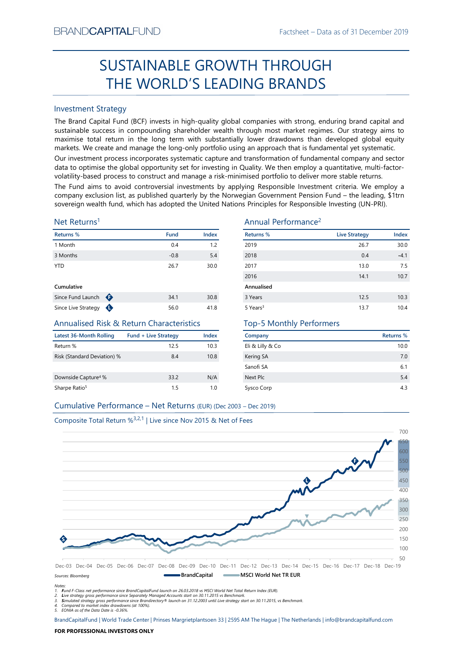# Factsheet – Data as of 31 December 2019<br> **ROUGH** SUSTAINABLE GROWTH THROUGH THE WORLD'S LEADING BRANDS

# Investment Strategy

From NDCAPTIALI-UND<br>
Fractsheet – Data as or 31 December 2019<br>
SUSTAINABLE GROWTH THROUGH<br>
THE WORLD'S LEADING BRANDS<br>
Investment Strategy<br>
The Barad Captib Tund (BCF) invests in high-quality global companies with strong, SUSTAINABLE GROWTH THROUGH<br>
THE WORLD'S LEADING BRANDS<br>
Investment Strategy<br>
Inte Brand Gapital Fund (BCF) invests in high-quality global companies with strong, enduring brand capital and<br>
sustissimate success in componen BRAND**CAPITAL**FUND<br>
SUSTAINABLE GROWTH THROUGH<br>
THE WORLD'S LEADING BRANDS<br>
Investment Strategy<br>
The Brand Capital Fund (BCF) invests in high-quality global companies with strong, enduring brand capital and<br>
sustainable su  $\begin{minipage}[t]{0.9\textwidth} \begin{tabular}{l} \multicolumn{2}{l}{{\small\bf{BRANDC}}}\end{tabular} \begin{tabular}{l} \multicolumn{2}{l}{{\small\bf{SUSTAINABLE GROWTH THROUGH}}} \end{tabular} \end{minipage} \begin{minipage}[t]{0.9\textwidth} \begin{tabular}{l} {\small\bf{SUSTAINABLE GROWTH THROUGH}} \end{tabular} \end{minipage} \begin{minipage}[t]{0.9\textwidth} \begin{tabular}{l} {\small\bf{S.RANDS}} \end{tabular} \end{minipage} \begin{minipage}[t]{0.9\textwidth} \begin{tab$ EXANDCAPITALFUND<br>
Factsheet – Data as of 31 December 2019<br>
SUSTAINABLE GROWTH THROUGH<br>
THE WORLD'S LEADING BRANDS<br>
Investment Strategy<br>
The Brand Capital Fund (BCF) invests in high-quality global companies with strong, end BRAND**CAPITAL**FUND<br>
SUSTAINABLE GROWTH THROUGH<br>
THE WORLD'S LEADING BRANDS<br>
Investment Strategy<br>
Investment Strategy<br>
Investment Strategy<br>
Investment Strategy<br>
Investment Strategy<br>
Investment (1907) invests in high-quality BRAND**CAPITAL**FUND<br>
SUSTAINABLE GROWTH THROUGH<br>
THE WORLD'S LEADING BRANDS<br>
Investment Strategy<br>
Investment Strategy<br>
Investment Strategy<br>
Investment Strategy<br>
Investment Strategy<br>
Investment Strategy<br>
and Captial Fund (BC BRANDCAPITALFUND<br>
SUSTAINABLE GROWTH THROUGH<br>
THE WORLD'S LEADING BRANDS<br>
Investment Strategy<br>
The Brand Capital Fund (BCF) invests in high-quality global companies with strong, enduring brand capital and<br>
sustainable succ BRANDCAPITALFUND<br>
SUSTAINABLE GROWTH THROUGH<br>
THE WORLD'S LEADING BRANDS<br>
Investment Strategy<br>
The Brand Capital Fund (BCF) invests in high-quality global companies with strong, enduring brand capital and<br>
Investment Strat ERANDCAPITALFUND<br>
SUSTAINABLE GROWTH THROUGH<br>
THE WORLD'S LEADING BRANDS<br>
Investment Strategy<br>
Investment strategy<br>
Investment strategy<br>
Investment strategy<br>
Investment strategy<br>
ansimals equilible Investment (CF) invests EXAMDCAPITALFUND<br>
SUSTAINABLE GROWTH THROUGH<br>
THE WORLD'S LEADING BRANDS<br>
Investment Strategy<br>
The Brand Capital Fund (BCF) invests in high-quality global companies with strong, enduring brand capital and<br>
sustainable suc ERANDCAPITALFUND<br>
SUSTAINABLE GROWTH THROUGH<br>
THE WORLD'S LEADING BRANDS<br>
Investment Strategy<br>
Investment Strategy<br>
Investment Strategy<br>
Investment Strategy<br>
Sustainable success in compounding shareholder wealth furough m

# Net Returns1

| Returns %           |   | <b>Fund</b> | <b>Index</b> |
|---------------------|---|-------------|--------------|
| 1 Month             |   | 0.4         | 1.2          |
| 3 Months            |   | $-0.8$      | 5.4          |
| <b>YTD</b>          |   | 26.7        | 30.0         |
| Cumulative          |   |             |              |
| Since Fund Launch   | ⊕ | 34.1        | 30.8         |
| Since Live Strategy |   | 56.0        | 41.8         |

# Annualised Risk & Return Characteristics

| Latest 36-Month Rolling         | <b>Fund + Live Strategy</b> | Index |
|---------------------------------|-----------------------------|-------|
| Return %                        | 12.5                        | 10.3  |
| Risk (Standard Deviation) %     | 8.4                         | 10.8  |
|                                 |                             |       |
| Downside Capture <sup>4</sup> % | 33.2                        | N/A   |
| Sharpe Ratio <sup>5</sup>       | 15                          | 1 O   |

# Annual Performance2

| BRANU <b>UAPHAL</b> FUND                                                      |                             |                      |                                                                                                             | Hactsheet – Data as of 31 December 2019                                                                                                                                                                                                                                                                                                                                                                                                                                                                                                                                                                                                                                                                                                                                                                                                                                                                                                                                                                                            |           |
|-------------------------------------------------------------------------------|-----------------------------|----------------------|-------------------------------------------------------------------------------------------------------------|------------------------------------------------------------------------------------------------------------------------------------------------------------------------------------------------------------------------------------------------------------------------------------------------------------------------------------------------------------------------------------------------------------------------------------------------------------------------------------------------------------------------------------------------------------------------------------------------------------------------------------------------------------------------------------------------------------------------------------------------------------------------------------------------------------------------------------------------------------------------------------------------------------------------------------------------------------------------------------------------------------------------------------|-----------|
|                                                                               |                             |                      | SUSTAINABLE GROWTH THROUGH                                                                                  |                                                                                                                                                                                                                                                                                                                                                                                                                                                                                                                                                                                                                                                                                                                                                                                                                                                                                                                                                                                                                                    |           |
|                                                                               |                             |                      | THE WORLD'S LEADING BRANDS                                                                                  |                                                                                                                                                                                                                                                                                                                                                                                                                                                                                                                                                                                                                                                                                                                                                                                                                                                                                                                                                                                                                                    |           |
| <b>Investment Strategy</b>                                                    |                             |                      |                                                                                                             |                                                                                                                                                                                                                                                                                                                                                                                                                                                                                                                                                                                                                                                                                                                                                                                                                                                                                                                                                                                                                                    |           |
|                                                                               |                             |                      | volatility-based process to construct and manage a risk-minimised portfolio to deliver more stable returns. | The Brand Capital Fund (BCF) invests in high-quality global companies with strong, enduring brand capital and<br>sustainable success in compounding shareholder wealth through most market regimes. Our strategy aims to<br>maximise total return in the long term with substantially lower drawdowns than developed global equity<br>markets. We create and manage the long-only portfolio using an approach that is fundamental yet systematic.<br>Our investment process incorporates systematic capture and transformation of fundamental company and sector<br>data to optimise the global opportunity set for investing in Quality. We then employ a quantitative, multi-factor-<br>The Fund aims to avoid controversial investments by applying Responsible Investment criteria. We employ a<br>company exclusion list, as published quarterly by the Norwegian Government Pension Fund - the leading, \$1trn<br>sovereign wealth fund, which has adopted the United Nations Principles for Responsible Investing (UN-PRI). |           |
| Net Returns <sup>1</sup>                                                      |                             |                      | Annual Performance <sup>2</sup>                                                                             |                                                                                                                                                                                                                                                                                                                                                                                                                                                                                                                                                                                                                                                                                                                                                                                                                                                                                                                                                                                                                                    |           |
| Returns %                                                                     |                             | Index<br><b>Fund</b> | <b>Returns %</b>                                                                                            | <b>Live Strategy</b>                                                                                                                                                                                                                                                                                                                                                                                                                                                                                                                                                                                                                                                                                                                                                                                                                                                                                                                                                                                                               | Index     |
| 1 Month                                                                       |                             | 0.4                  | 2019<br>1.2                                                                                                 | 26.7                                                                                                                                                                                                                                                                                                                                                                                                                                                                                                                                                                                                                                                                                                                                                                                                                                                                                                                                                                                                                               | 30.0      |
| 3 Months                                                                      |                             | $-0.8$               | 5.4<br>2018                                                                                                 | 0.4                                                                                                                                                                                                                                                                                                                                                                                                                                                                                                                                                                                                                                                                                                                                                                                                                                                                                                                                                                                                                                | $-4.1$    |
| <b>YTD</b>                                                                    |                             | 26.7                 | 30.0<br>2017                                                                                                | 13.0                                                                                                                                                                                                                                                                                                                                                                                                                                                                                                                                                                                                                                                                                                                                                                                                                                                                                                                                                                                                                               | 7.5       |
|                                                                               |                             |                      | 2016                                                                                                        | 14.1                                                                                                                                                                                                                                                                                                                                                                                                                                                                                                                                                                                                                                                                                                                                                                                                                                                                                                                                                                                                                               | 10.7      |
| Cumulative                                                                    |                             |                      | Annualised                                                                                                  |                                                                                                                                                                                                                                                                                                                                                                                                                                                                                                                                                                                                                                                                                                                                                                                                                                                                                                                                                                                                                                    |           |
| Since Fund Launch $\bigoplus$                                                 |                             | 34.1                 | 30.8<br>3 Years                                                                                             | 12.5                                                                                                                                                                                                                                                                                                                                                                                                                                                                                                                                                                                                                                                                                                                                                                                                                                                                                                                                                                                                                               | 10.3      |
| Since Live Strategy $\bigoplus$                                               |                             | 56.0                 | 41.8<br>5 Years <sup>3</sup>                                                                                | 13.7                                                                                                                                                                                                                                                                                                                                                                                                                                                                                                                                                                                                                                                                                                                                                                                                                                                                                                                                                                                                                               | 10.4      |
| <b>Annualised Risk &amp; Return Characteristics</b>                           |                             |                      | <b>Top-5 Monthly Performers</b>                                                                             |                                                                                                                                                                                                                                                                                                                                                                                                                                                                                                                                                                                                                                                                                                                                                                                                                                                                                                                                                                                                                                    |           |
| <b>Latest 36-Month Rolling</b>                                                | <b>Fund + Live Strategy</b> | <b>Index</b>         | Company                                                                                                     |                                                                                                                                                                                                                                                                                                                                                                                                                                                                                                                                                                                                                                                                                                                                                                                                                                                                                                                                                                                                                                    | Returns % |
| Return %                                                                      |                             | 12.5                 | Eli & Lilly & Co<br>10.3                                                                                    |                                                                                                                                                                                                                                                                                                                                                                                                                                                                                                                                                                                                                                                                                                                                                                                                                                                                                                                                                                                                                                    | 10.0      |
| Risk (Standard Deviation) %                                                   |                             | 8.4                  | 10.8<br>Kering SA                                                                                           |                                                                                                                                                                                                                                                                                                                                                                                                                                                                                                                                                                                                                                                                                                                                                                                                                                                                                                                                                                                                                                    | 7.0       |
|                                                                               |                             |                      | Sanofi SA                                                                                                   |                                                                                                                                                                                                                                                                                                                                                                                                                                                                                                                                                                                                                                                                                                                                                                                                                                                                                                                                                                                                                                    | 6.1       |
| Downside Capture <sup>4</sup> %                                               |                             | 33.2                 | N/A<br>Next Plc                                                                                             |                                                                                                                                                                                                                                                                                                                                                                                                                                                                                                                                                                                                                                                                                                                                                                                                                                                                                                                                                                                                                                    | $5.4$     |
| Sharpe Ratio <sup>5</sup>                                                     |                             | 1.5                  | 1.0<br>Sysco Corp                                                                                           |                                                                                                                                                                                                                                                                                                                                                                                                                                                                                                                                                                                                                                                                                                                                                                                                                                                                                                                                                                                                                                    | 4.3       |
| Cumulative Performance - Net Returns (EUR) (Dec 2003 - Dec 2019)              |                             |                      |                                                                                                             |                                                                                                                                                                                                                                                                                                                                                                                                                                                                                                                                                                                                                                                                                                                                                                                                                                                                                                                                                                                                                                    |           |
|                                                                               |                             |                      |                                                                                                             |                                                                                                                                                                                                                                                                                                                                                                                                                                                                                                                                                                                                                                                                                                                                                                                                                                                                                                                                                                                                                                    |           |
| Composite Total Return % <sup>3,2,1</sup>   Live since Nov 2015 & Net of Fees |                             |                      |                                                                                                             |                                                                                                                                                                                                                                                                                                                                                                                                                                                                                                                                                                                                                                                                                                                                                                                                                                                                                                                                                                                                                                    |           |
|                                                                               |                             |                      |                                                                                                             |                                                                                                                                                                                                                                                                                                                                                                                                                                                                                                                                                                                                                                                                                                                                                                                                                                                                                                                                                                                                                                    | 700       |
|                                                                               |                             |                      |                                                                                                             |                                                                                                                                                                                                                                                                                                                                                                                                                                                                                                                                                                                                                                                                                                                                                                                                                                                                                                                                                                                                                                    |           |
|                                                                               |                             |                      |                                                                                                             |                                                                                                                                                                                                                                                                                                                                                                                                                                                                                                                                                                                                                                                                                                                                                                                                                                                                                                                                                                                                                                    |           |

# Top-5 Monthly Performers

| Company          | Returns % |
|------------------|-----------|
| Eli & Lilly & Co | 10.0      |
| Kering SA        | 7.0       |
| Sanofi SA        | 6.1       |
| Next Plc         | 5.4       |
| Sysco Corp       | 4.3       |



Notes:

1. Fund F-Class net performance since BrandCapitalFund launch on 26.03.2018 vs MSCI World Net Total Return Index (EUR).

2. Live strategy gross performance since Separately Managed Accounts start on 30.11.2015 vs Benchmark.<br>3. Simulated strategy gross performance since Brandirectory® launch on 31.12.2003 until Live strategy start on 30.11.20

5. EONIA as of the Data Date is -0.36%.